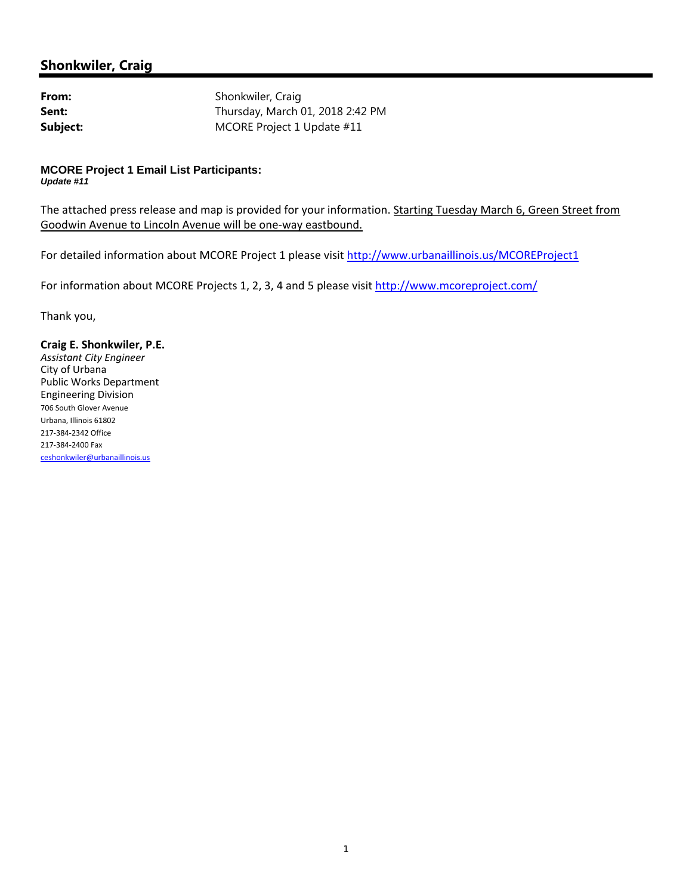## **Shonkwiler, Craig**

From: Shonkwiler, Craig **Sent:** Thursday, March 01, 2018 2:42 PM **Subject:** MCORE Project 1 Update #11

## **MCORE Project 1 Email List Participants:**  *Update #11*

The attached press release and map is provided for your information. Starting Tuesday March 6, Green Street from Goodwin Avenue to Lincoln Avenue will be one‐way eastbound.

For detailed information about MCORE Project 1 please visit http://www.urbanaillinois.us/MCOREProject1

For information about MCORE Projects 1, 2, 3, 4 and 5 please visit http://www.mcoreproject.com/

Thank you,

## **Craig E. Shonkwiler, P.E.**

*Assistant City Engineer* City of Urbana Public Works Department Engineering Division <sup>706</sup> South Glover Avenue Urbana, Illinois <sup>61802</sup> <sup>217</sup>‐384‐<sup>2342</sup> Office <sup>217</sup>‐384‐<sup>2400</sup> Fax ceshonkwiler@urbanaillinois.us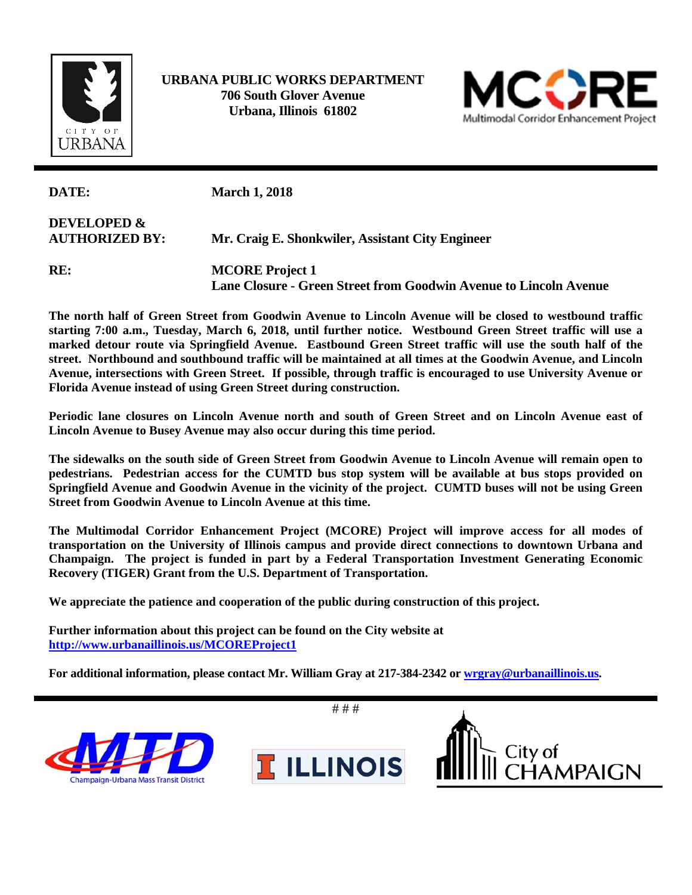

 **URBANA PUBLIC WORKS DEPARTMENT 706 South Glover Avenue Urbana, Illinois 61802** 



| DATE:                                           | <b>March 1, 2018</b>                                                                        |
|-------------------------------------------------|---------------------------------------------------------------------------------------------|
| <b>DEVELOPED &amp;</b><br><b>AUTHORIZED BY:</b> | Mr. Craig E. Shonkwiler, Assistant City Engineer                                            |
| RE:                                             | <b>MCORE</b> Project 1<br>Lane Closure - Green Street from Goodwin Avenue to Lincoln Avenue |

**The north half of Green Street from Goodwin Avenue to Lincoln Avenue will be closed to westbound traffic starting 7:00 a.m., Tuesday, March 6, 2018, until further notice. Westbound Green Street traffic will use a marked detour route via Springfield Avenue. Eastbound Green Street traffic will use the south half of the street. Northbound and southbound traffic will be maintained at all times at the Goodwin Avenue, and Lincoln Avenue, intersections with Green Street. If possible, through traffic is encouraged to use University Avenue or Florida Avenue instead of using Green Street during construction.** 

**Periodic lane closures on Lincoln Avenue north and south of Green Street and on Lincoln Avenue east of Lincoln Avenue to Busey Avenue may also occur during this time period.** 

**The sidewalks on the south side of Green Street from Goodwin Avenue to Lincoln Avenue will remain open to pedestrians. Pedestrian access for the CUMTD bus stop system will be available at bus stops provided on Springfield Avenue and Goodwin Avenue in the vicinity of the project. CUMTD buses will not be using Green Street from Goodwin Avenue to Lincoln Avenue at this time.** 

**The Multimodal Corridor Enhancement Project (MCORE) Project will improve access for all modes of transportation on the University of Illinois campus and provide direct connections to downtown Urbana and Champaign. The project is funded in part by a Federal Transportation Investment Generating Economic Recovery (TIGER) Grant from the U.S. Department of Transportation.** 

**We appreciate the patience and cooperation of the public during construction of this project.** 

**Further information about this project can be found on the City website at http://www.urbanaillinois.us/MCOREProject1** 

**For additional information, please contact Mr. William Gray at 217-384-2342 or wrgray@urbanaillinois.us.** 

# # # City of<br>CHAMPAIGN **T ILLINOIS** npaign-Urbana Mass Transit District